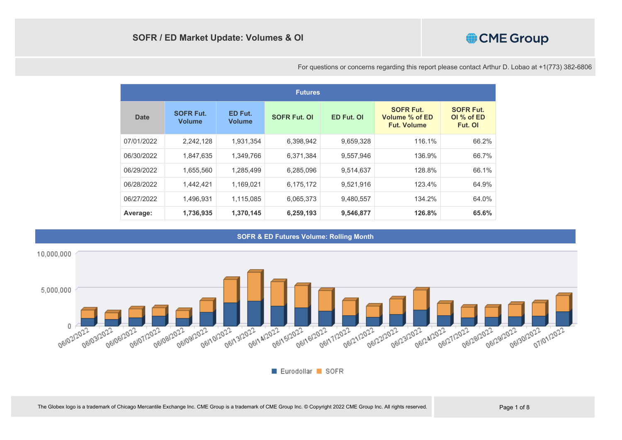

| <b>Futures</b> |                                   |                          |                     |                   |                                                          |                                           |  |  |  |
|----------------|-----------------------------------|--------------------------|---------------------|-------------------|----------------------------------------------------------|-------------------------------------------|--|--|--|
| <b>Date</b>    | <b>SOFR Fut.</b><br><b>Volume</b> | ED Fut.<br><b>Volume</b> | <b>SOFR Fut. OI</b> | <b>ED Fut. OI</b> | <b>SOFR Fut.</b><br>Volume % of ED<br><b>Fut. Volume</b> | <b>SOFR Fut.</b><br>OI % of ED<br>Fut. OI |  |  |  |
| 07/01/2022     | 2.242.128                         | 1,931,354                | 6,398,942           | 9,659,328         | 116.1%                                                   | 66.2%                                     |  |  |  |
| 06/30/2022     | 1.847.635                         | 1.349.766                | 6,371,384           | 9,557,946         | 136.9%                                                   | 66.7%                                     |  |  |  |
| 06/29/2022     | 1,655,560                         | 1,285,499                | 6,285,096           | 9,514,637         | 128.8%                                                   | 66.1%                                     |  |  |  |
| 06/28/2022     | 1,442,421                         | 1.169.021                | 6,175,172           | 9,521,916         | 123.4%                                                   | 64.9%                                     |  |  |  |
| 06/27/2022     | 1,496,931                         | 1,115,085                | 6,065,373           | 9,480,557         | 134.2%                                                   | 64.0%                                     |  |  |  |
| Average:       | 1,736,935                         | 1,370,145                | 6,259,193           | 9,546,877         | 126.8%                                                   | 65.6%                                     |  |  |  |



The Globex logo is a trademark of Chicago Mercantile Exchange Inc. CME Group is a trademark of CME Group Inc. © Copyright 2022 CME Group Inc. All rights reserved. Page 1 of 8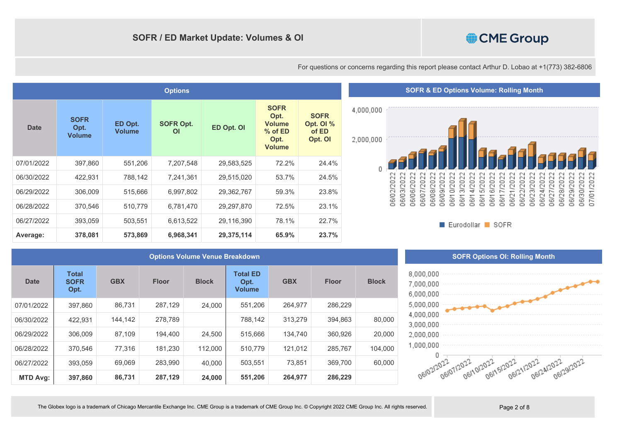# CME Group

For questions or concerns regarding this report please contact Arthur D. Lobao at +1(773) 382-6806

| <b>Options</b> |                                      |                          |                               |            |                                                                          |                                              |  |  |
|----------------|--------------------------------------|--------------------------|-------------------------------|------------|--------------------------------------------------------------------------|----------------------------------------------|--|--|
| <b>Date</b>    | <b>SOFR</b><br>Opt.<br><b>Volume</b> | ED Opt.<br><b>Volume</b> | <b>SOFR Opt.</b><br><b>OI</b> | ED Opt. OI | <b>SOFR</b><br>Opt.<br><b>Volume</b><br>% of ED<br>Opt.<br><b>Volume</b> | <b>SOFR</b><br>Opt. OI %<br>of ED<br>Opt. OI |  |  |
| 07/01/2022     | 397,860                              | 551,206                  | 7,207,548                     | 29,583,525 | 72.2%                                                                    | 24.4%                                        |  |  |
| 06/30/2022     | 422,931                              | 788,142                  | 7,241,361                     | 29,515,020 | 53.7%                                                                    | 24.5%                                        |  |  |
| 06/29/2022     | 306,009                              | 515,666                  | 6,997,802                     | 29,362,767 | 59.3%                                                                    | 23.8%                                        |  |  |
| 06/28/2022     | 370,546                              | 510,779                  | 6,781,470                     | 29,297,870 | 72.5%                                                                    | 23.1%                                        |  |  |
| 06/27/2022     | 393,059                              | 503,551                  | 6,613,522                     | 29,116,390 | 78.1%                                                                    | 22.7%                                        |  |  |
| Average:       | 378,081                              | 573,869                  | 6,968,341                     | 29,375,114 | 65.9%                                                                    | 23.7%                                        |  |  |

#### **SOFR & ED Options Volume: Rolling Month**



Eurodollar SOFR

| <b>Options Volume Venue Breakdown</b> |                                     |            |              |              |                                          |            |              |              |  |
|---------------------------------------|-------------------------------------|------------|--------------|--------------|------------------------------------------|------------|--------------|--------------|--|
| <b>Date</b>                           | <b>Total</b><br><b>SOFR</b><br>Opt. | <b>GBX</b> | <b>Floor</b> | <b>Block</b> | <b>Total ED</b><br>Opt.<br><b>Volume</b> | <b>GBX</b> | <b>Floor</b> | <b>Block</b> |  |
| 07/01/2022                            | 397.860                             | 86.731     | 287,129      | 24.000       | 551,206                                  | 264.977    | 286,229      |              |  |
| 06/30/2022                            | 422.931                             | 144,142    | 278,789      |              | 788,142                                  | 313,279    | 394,863      | 80,000       |  |
| 06/29/2022                            | 306.009                             | 87,109     | 194.400      | 24.500       | 515,666                                  | 134.740    | 360.926      | 20,000       |  |
| 06/28/2022                            | 370.546                             | 77,316     | 181,230      | 112.000      | 510,779                                  | 121,012    | 285,767      | 104,000      |  |
| 06/27/2022                            | 393.059                             | 69.069     | 283.990      | 40,000       | 503.551                                  | 73.851     | 369.700      | 60,000       |  |
| MTD Avg:                              | 397,860                             | 86,731     | 287,129      | 24,000       | 551,206                                  | 264,977    | 286,229      |              |  |

## 8,000,000 7.000.000 6,000,000 5,000,000 4,000,000 3,000,000 2,000,000 1,000,000 0

**SOFR Options OI: Rolling Month**



The Globex logo is a trademark of Chicago Mercantile Exchange Inc. CME Group is a trademark of CME Group Inc. © Copyright 2022 CME Group Inc. All rights reserved. Page 2 of 8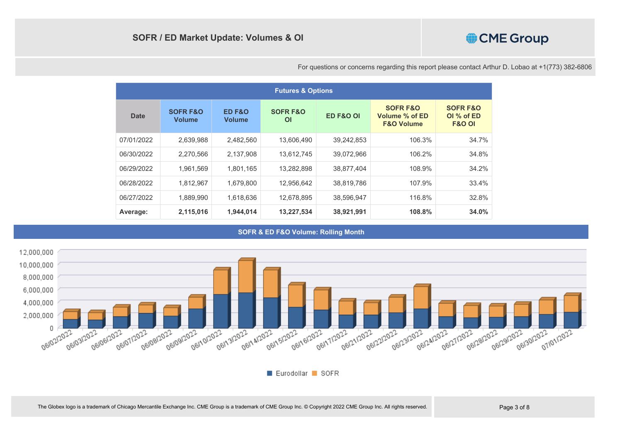

| <b>Futures &amp; Options</b> |                                      |                         |                                  |                      |                                                                |                                                        |  |  |  |
|------------------------------|--------------------------------------|-------------------------|----------------------------------|----------------------|----------------------------------------------------------------|--------------------------------------------------------|--|--|--|
| <b>Date</b>                  | <b>SOFR F&amp;O</b><br><b>Volume</b> | ED F&O<br><b>Volume</b> | <b>SOFR F&amp;O</b><br><b>OI</b> | <b>ED F&amp;O OI</b> | <b>SOFR F&amp;O</b><br>Volume % of ED<br><b>F&amp;O Volume</b> | <b>SOFR F&amp;O</b><br>OI % of ED<br><b>F&amp;O OI</b> |  |  |  |
| 07/01/2022                   | 2.639.988                            | 2,482,560               | 13.606.490                       | 39.242.853           | 106.3%                                                         | 34.7%                                                  |  |  |  |
| 06/30/2022                   | 2.270.566                            | 2.137.908               | 13.612.745                       | 39.072.966           | 106.2%                                                         | 34.8%                                                  |  |  |  |
| 06/29/2022                   | 1,961,569                            | 1.801.165               | 13.282.898                       | 38.877.404           | 108.9%                                                         | 34.2%                                                  |  |  |  |
| 06/28/2022                   | 1,812,967                            | 1.679.800               | 12.956.642                       | 38.819.786           | 107.9%                                                         | 33.4%                                                  |  |  |  |
| 06/27/2022                   | 1,889,990                            | 1.618.636               | 12,678,895                       | 38.596.947           | 116.8%                                                         | 32.8%                                                  |  |  |  |
| Average:                     | 2,115,016                            | 1,944,014               | 13,227,534                       | 38,921,991           | 108.8%                                                         | 34.0%                                                  |  |  |  |

**SOFR & ED F&O Volume: Rolling Month**



Eurodollar SOFR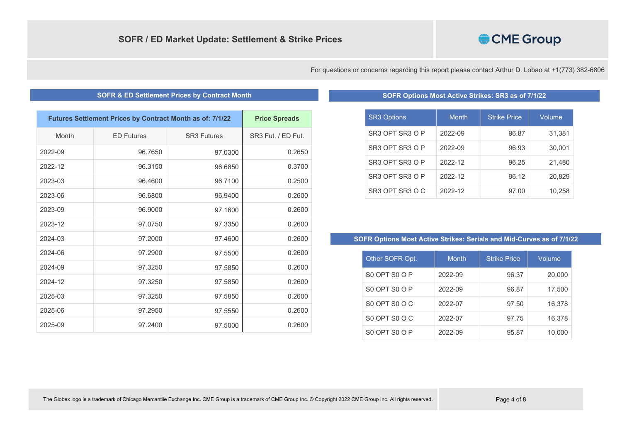## CME Group

For questions or concerns regarding this report please contact Arthur D. Lobao at +1(773) 382-6806

### **SOFR & ED Settlement Prices by Contract Month SOFR Options Most Active Strikes: SR3 as of 7/1/22**

|         | Futures Settlement Prices by Contract Month as of: 7/1/22 |                    |                    |  |  |  |  |
|---------|-----------------------------------------------------------|--------------------|--------------------|--|--|--|--|
| Month   | <b>ED Futures</b>                                         | <b>SR3 Futures</b> | SR3 Fut. / FD Fut. |  |  |  |  |
| 2022-09 | 96.7650                                                   | 97.0300            | 0.2650             |  |  |  |  |
| 2022-12 | 96.3150                                                   | 96.6850            | 0.3700             |  |  |  |  |
| 2023-03 | 96.4600                                                   | 96.7100            | 0.2500             |  |  |  |  |
| 2023-06 | 96.6800                                                   | 96.9400            | 0.2600             |  |  |  |  |
| 2023-09 | 96.9000                                                   | 97.1600            | 0.2600             |  |  |  |  |
| 2023-12 | 97.0750                                                   | 97.3350            | 0.2600             |  |  |  |  |
| 2024-03 | 97.2000                                                   | 97.4600            | 0.2600             |  |  |  |  |
| 2024-06 | 97.2900                                                   | 97.5500            | 0.2600             |  |  |  |  |
| 2024-09 | 97.3250                                                   | 97.5850            | 0.2600             |  |  |  |  |
| 2024-12 | 97.3250                                                   | 97.5850            | 0.2600             |  |  |  |  |
| 2025-03 | 97.3250                                                   | 97.5850            | 0.2600             |  |  |  |  |
| 2025-06 | 97.2950                                                   | 97.5550            | 0.2600             |  |  |  |  |
| 2025-09 | 97.2400                                                   | 97.5000            | 0.2600             |  |  |  |  |

| <b>SR3 Options</b> | <b>Month</b> | <b>Strike Price</b> | Volume |
|--------------------|--------------|---------------------|--------|
| SR3 OPT SR3 O P    | 2022-09      | 96.87               | 31,381 |
| SR3 OPT SR3 O P    | 2022-09      | 96.93               | 30,001 |
| SR3 OPT SR3 O P    | 2022-12      | 96.25               | 21,480 |
| SR3 OPT SR3 O P    | 2022-12      | 96.12               | 20.829 |
| SR3 OPT SR3 O C    | 2022-12      | 97.00               | 10.258 |

## **SOFR Options Most Active Strikes: Serials and Mid-Curves as of 7/1/22**

| Other SOFR Opt. | <b>Month</b> | <b>Strike Price</b> | Volume |
|-----------------|--------------|---------------------|--------|
| SO OPT SO O P   | 2022-09      | 96.37               | 20,000 |
| SO OPT SO O P   | 2022-09      | 96.87               | 17,500 |
| SO OPT SO O C   | 2022-07      | 97.50               | 16.378 |
| SO OPT SO O C   | 2022-07      | 97.75               | 16.378 |
| SO OPT SO O P   | 2022-09      | 95.87               | 10.000 |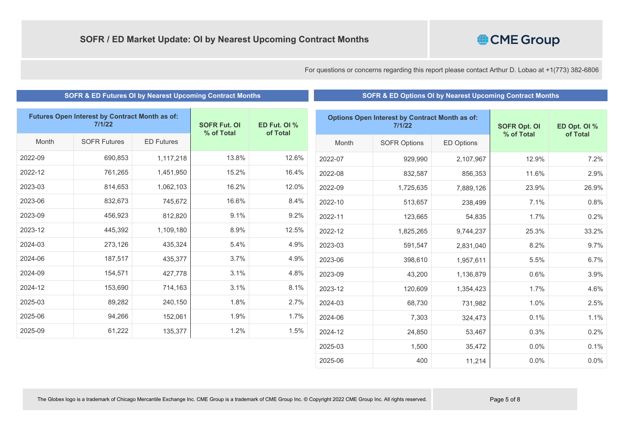

| Futures Open Interest by Contract Month as of:<br>7/1/22 |                     | ED Fut. OI %<br><b>SOFR Fut. OI</b><br>% of Total<br>of Total | <b>Options Open Interest by Contract Month as of:</b><br>7/1/22 |       |         | <b>SOFR Opt. OI</b><br>% of Total | ED Opt. OI %      |       |          |
|----------------------------------------------------------|---------------------|---------------------------------------------------------------|-----------------------------------------------------------------|-------|---------|-----------------------------------|-------------------|-------|----------|
| Month                                                    | <b>SOFR Futures</b> | <b>ED Futures</b>                                             |                                                                 |       | Month   | <b>SOFR Options</b>               | <b>ED Options</b> |       | of Total |
| 2022-09                                                  | 690,853             | 1,117,218                                                     | 13.8%                                                           | 12.6% | 2022-07 | 929,990                           | 2,107,967         | 12.9% | 7.2%     |
| 2022-12                                                  | 761,265             | 1,451,950                                                     | 15.2%                                                           | 16.4% | 2022-08 | 832,587                           | 856,353           | 11.6% | 2.9%     |
| 2023-03                                                  | 814,653             | 1,062,103                                                     | 16.2%                                                           | 12.0% | 2022-09 | 1,725,635                         | 7,889,126         | 23.9% | 26.9%    |
| 2023-06                                                  | 832,673             | 745,672                                                       | 16.6%                                                           | 8.4%  | 2022-10 | 513,657                           | 238,499           | 7.1%  | 0.8%     |
| 2023-09                                                  | 456,923             | 812,820                                                       | 9.1%                                                            | 9.2%  | 2022-11 | 123,665                           | 54,835            | 1.7%  | 0.2%     |
| 2023-12                                                  | 445,392             | 1,109,180                                                     | 8.9%                                                            | 12.5% | 2022-12 | 1,825,265                         | 9,744,237         | 25.3% | 33.2%    |
| 2024-03                                                  | 273,126             | 435,324                                                       | 5.4%                                                            | 4.9%  | 2023-03 | 591,547                           | 2,831,040         | 8.2%  | 9.7%     |
| 2024-06                                                  | 187,517             | 435,377                                                       | 3.7%                                                            | 4.9%  | 2023-06 | 398,610                           | 1,957,611         | 5.5%  | 6.7%     |
| 2024-09                                                  | 154,571             | 427,778                                                       | 3.1%                                                            | 4.8%  | 2023-09 | 43,200                            | 1,136,879         | 0.6%  | 3.9%     |
| 2024-12                                                  | 153,690             | 714,163                                                       | 3.1%                                                            | 8.1%  | 2023-12 | 120,609                           | 1,354,423         | 1.7%  | 4.6%     |
| 2025-03                                                  | 89,282              | 240,150                                                       | 1.8%                                                            | 2.7%  | 2024-03 | 68,730                            | 731,982           | 1.0%  | 2.5%     |
| 2025-06                                                  | 94,266              | 152,061                                                       | 1.9%                                                            | 1.7%  | 2024-06 | 7,303                             | 324,473           | 0.1%  | 1.1%     |
| 2025-09                                                  | 61,222              | 135,377                                                       | 1.2%                                                            | 1.5%  | 2024-12 | 24,850                            | 53,467            | 0.3%  | 0.2%     |
|                                                          |                     |                                                               |                                                                 |       | 2025-03 | 1,500                             | 35,472            | 0.0%  | 0.1%     |
|                                                          |                     |                                                               |                                                                 |       |         |                                   |                   |       |          |

**SOFR & ED Futures OI by Nearest Upcoming Contract Months SOFR & ED Options OI by Nearest Upcoming Contract Months**

 $2025-06$  and  $400$  and  $11,214$  and  $0.0\%$  and  $0.0\%$  and  $0.0\%$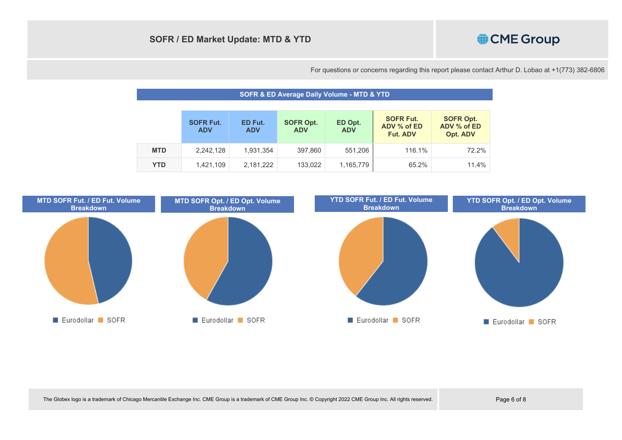

|            | <b>SOFR Fut.</b><br><b>ADV</b> | ED Fut.<br><b>ADV</b> | <b>SOFR Opt.</b><br><b>ADV</b> | ED Opt.<br><b>ADV</b> | <b>SOFR Fut.</b><br>ADV % of ED<br><b>Fut. ADV</b> | <b>SOFR Opt.</b><br>ADV % of ED<br>Opt. ADV |
|------------|--------------------------------|-----------------------|--------------------------------|-----------------------|----------------------------------------------------|---------------------------------------------|
| <b>MTD</b> | 2.242.128                      | 1,931,354             | 397,860                        | 551,206               | 116.1%                                             | 72.2%                                       |
| <b>YTD</b> | 1,421,109                      | 2,181,222             | 133,022                        | 1,165,779             | 65.2%                                              | 11.4%                                       |

**SOFR & ED Average Daily Volume - MTD & YTD**

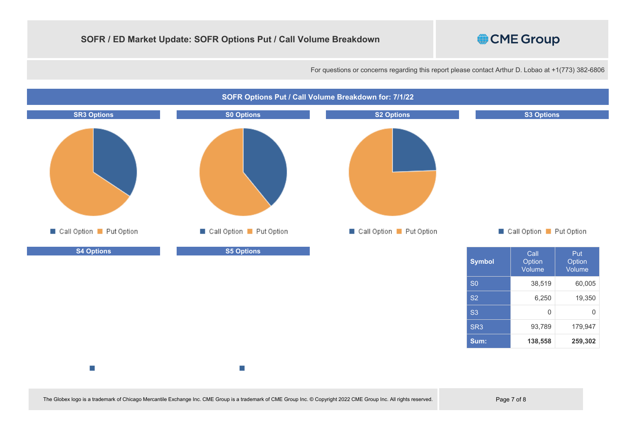![](_page_6_Picture_1.jpeg)

![](_page_6_Figure_3.jpeg)

The Globex logo is a trademark of Chicago Mercantile Exchange Inc. CME Group is a trademark of CME Group Inc. @ Copyright 2022 CME Group Inc. All rights reserved. Page 7 of 8